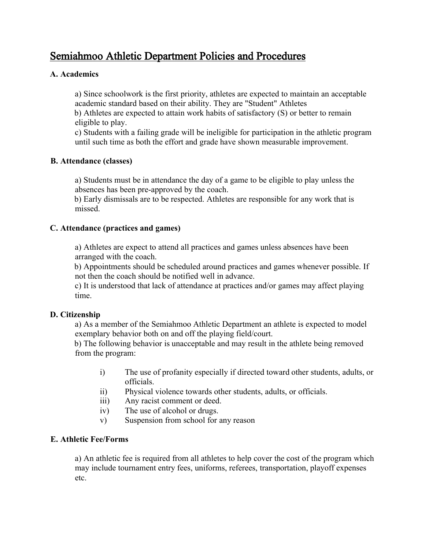# Semiahmoo Athletic Department Policies and Procedures

## **A. Academics**

a) Since schoolwork is the first priority, athletes are expected to maintain an acceptable academic standard based on their ability. They are "Student" Athletes

b) Athletes are expected to attain work habits of satisfactory (S) or better to remain eligible to play.

c) Students with a failing grade will be ineligible for participation in the athletic program until such time as both the effort and grade have shown measurable improvement.

#### **B. Attendance (classes)**

a) Students must be in attendance the day of a game to be eligible to play unless the absences has been pre-approved by the coach.

b) Early dismissals are to be respected. Athletes are responsible for any work that is missed.

#### **C. Attendance (practices and games)**

a) Athletes are expect to attend all practices and games unless absences have been arranged with the coach.

b) Appointments should be scheduled around practices and games whenever possible. If not then the coach should be notified well in advance.

c) It is understood that lack of attendance at practices and/or games may affect playing time.

#### **D. Citizenship**

a) As a member of the Semiahmoo Athletic Department an athlete is expected to model exemplary behavior both on and off the playing field/court.

b) The following behavior is unacceptable and may result in the athlete being removed from the program:

- i) The use of profanity especially if directed toward other students, adults, or officials.
- ii) Physical violence towards other students, adults, or officials.
- iii) Any racist comment or deed.
- iv) The use of alcohol or drugs.
- v) Suspension from school for any reason

#### **E. Athletic Fee/Forms**

a) An athletic fee is required from all athletes to help cover the cost of the program which may include tournament entry fees, uniforms, referees, transportation, playoff expenses etc.